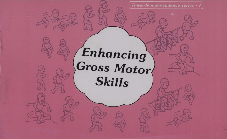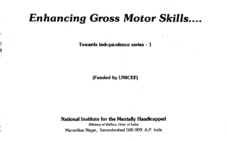# Enhancing Gross Motor Skills....

Towards indepeadence series - 1

(Funded by UNICEF)

#### National Institute for the Mentally Handicapped

(Ministry of Welfare, Govt. of India) Manovikas Nagar, Secunderabad 500 009. A.P. India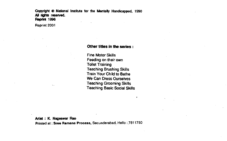Copyright  $\Phi$  National Institute for the Mentally Handicapped, 1990 All rights reserved. Reprint 1996

Reprint 2001

 $\ddotsc$ 

#### Other titles in the series:

**Fine Motor Skills** Feeding on their own Toilet Training Teaching Brushing Skills **Train Your Child to Bathe** We Can Dress Ourselves Teaching Grooming Skills Teaching Basic Social Skills

Artist : K. Nageswar Rao Printed at: Sree Ramana Process, Secunderabad Hello :7811750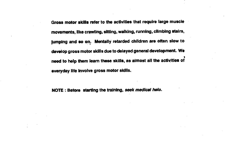Gross motor skills refer to the activities that require large muscle movements, like crawling, sItting, walkIng, running, clImbIng stairs, jumping and so on. Mentally retarded chIldren are often slow to develop gross motor skills due to delayed general development. We  $\mathbf{I}$ need to help them learn these skills, as almost all the activities of everyday life Involve gross motor skills.

NOTE : Before starting the training, seek medical help.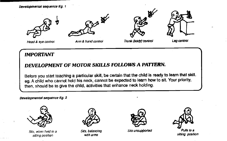Developmental sequence Eg. 1









Arm & hand control

Head & eye control **Arm & hand control Trunk (body) control** Leg control

### IMPORTANT

### DEVELOPMENT OF MOTOR SKILLS FOLLOWS A PATTERN.

Before you start teaching a particular skill, be certain that the child is ready to learn that skill. eg. A child who cannot hold his neck, cannot be expected to learn how to sit. Your priority, then, should be to give the child, activities that enhance neck holding.

Developmental sequence Eg. 2



Sits, when held in a sitting position



Sits, balancing with arms



Sits unsupported Pulls to a



sitting position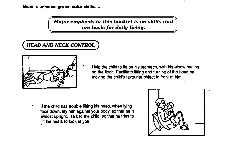#### Ideas to enhance gross motor skills.....

Major emphasis in this booklet is on skills that are basic for daily living.

## **HEAD AND NECK CONTROL**



Help the child to lie on his stomach, with his elbow resting on the floor. Facilitate lifting and turning of the head by moving the child's favourite object in front of him.

\* If the child has trouble lifting his head, when lying face down, lay him against your body, so that he is almost upright. Talk to the child, so that he tries to lift his head, to look at you.

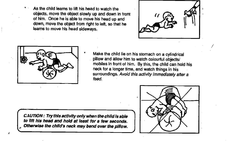As the child learns to lift his head to watch the objects, move the object slowly up and down in front of him. Once he is able to move his head up and down, move the object from right to left, so that he learns to move his head sideways.





Make the child lie on his stomach on a cylindrical pillow and allow him to watch colourful objects/ mobiles in front of him. By this, the child can hold his neck for a longer time, and watch things in his surroundings. Avoid this activity immediately after a feed.

CAUTION: Try this activity only when the child is able to lift his head and hold at least for a few seconds. Otherwise the child's neck may bend over the pillow.

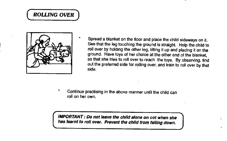## **ROLLING OVER**



Spread a blanket on the floor and place the child sideways on it. See that the leg touching the ground is straight. Help the child to roll over by holding the other leg, lifting it up and placing it on the ground. Have toys of her choice at the other end of the blanket, so that she tries to roll over to reach the toys. By observing, find out the preferred side for rolling over, and train to roll over by that side.

Continue practising in the above manner until the child can roll on her own.

IMPORTANT: Do not leave the child alone on cot when she has learnt to roll over. Prevent the child from falling down.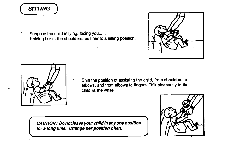## **SITTING**

Suppose the child is lying, facing you...... Holding her at the shoulders, pull her to a sitting position.





Shift the position of assisting the child, from shoulders to elbows, and from elbows to fingers. Talk pleasantly to the child all the while.

for a long time. Change her position often. CAUTION: Do not leave your child in any one position

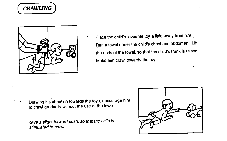



Place the child's favourite toy a little away from him. Run a towel under the child's chest and abdomen. Lift the ends of the towel, so that the child's trunk is raised. Make him crawl towards the toy.

Drawing his attention towards the toys, encourage him to crawl gradually without the use of the towel.

Give a slight forward push, so that the child is stimulated to crawl.

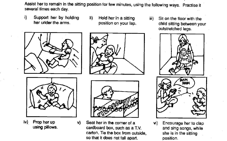Assist her to remain in the sitting position for few minutes, using the following ways. Practise it<br>several times each day.

- i) Support her by holding ii) her under the arms.
- Hold her in a sitting  $iii)$ position on your lap.
	- Sit on the floor with the child sitting between your outstretched legs.



- 
- iv) Prop her up using pillows.
	- Seat her in the corner of a  $vi)$ cardboard box, such as a T.V. carton. Tie the box from outside, so that it does not fall apart.
- RAM **RAM** 
	- Encourage her to clap and sing songs, while she is in the sitting position.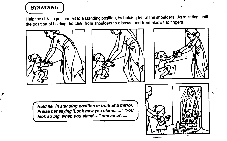## **STANDING**

Å

Help the child to pull herself to a standing position, by holding her at the shoulders. As in sitting, shift the position of holding the child from shoulders to elbows, and from elbows to fingers.

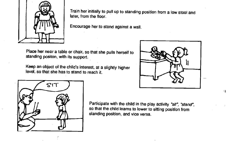

Train her initially to pull up to standing position from a low stool and later, from the floor.

Encourage her to stand against a wall.

Place her near a table or chair, so that she pulls herself to standing positon, with its support.

Keep an object of the child's interest, at a slightly higher level, so that she has to stand to reach it.



71



Participate with the child in the play activity "sit", "stand", so that the child learns to lower to sitting position from standing position, and vice versa.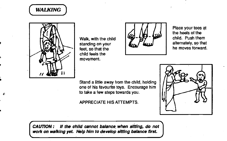



Λ

Walk, with the child standing on your feet, so that the child feels the movement.



Place your toes at the heels of the child. Push them alternately, so that he moves forward.

Stand a little away from the child, holding one of his favourite toys. Encourage him to take a few steps towards you.

APPRECIATE HIS ATTEMPTS.



CAUTION: If the child cannot balance, when sitting, do not work on walking yet. Help him to develop sitting balance first.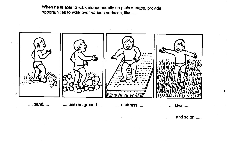When he is able to walk independently on plain surface, provide opportunities to walk over various surfaces, like......



and so on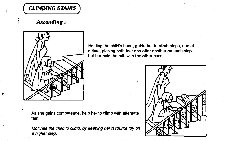(CUMBING STAIRS]

Ascending:



-6

As she gains competence, help her to climb with alternate feet.

Motivate the child to climb, by keeping her favourite toy on a higher step.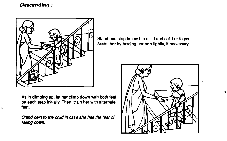### Descending:



As in climbing up, let her climb down with both feet  $\| \ \#$ on each step initially. Then, train her with alternate  $\|f\|$ feet.

Stand next to the child in case she has the fear of falling down.

Stand one step below the child and call her to you. Assist her by holding her arm lightly, if necessary.



:4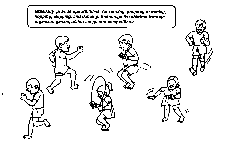Gradually, provide opportunities for running, jumping, marching, hopping, skipping, and dancing. Encourage the children through organized games, action songs and competitions.

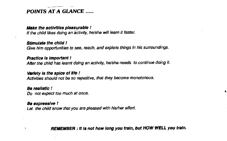### POINTS AT A GLANCE

#### **Make the activities pleasurable!**

If the child likes doing an activity, he/she will learn it faster.

#### Stimulate the child !

Give him opportunities to see, reach, and explore things in his surroundings.

#### Practice is important !

After the child has learnt doing an activity, he/she needs to continue doing it.

#### Variety is the spice of life !

Activities should not be so repetitive, that they become monotonous.

#### Be realistic!

Do not expect too much at once.

#### Be expressive !

Let the child know that you are pleased with his/her effort.

REMEMBER : It Is not how long you train, but HOW WELL you train.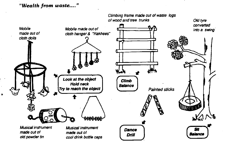#### "Wealth from waste...."